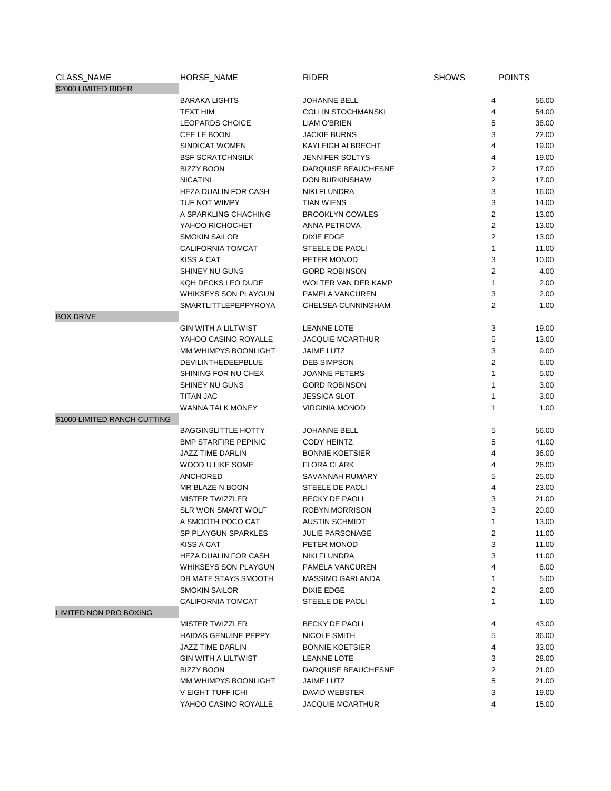| CLASS_NAME                    | HORSE_NAME                  | <b>RIDER</b>               | <b>SHOWS</b> | <b>POINTS</b>  |       |
|-------------------------------|-----------------------------|----------------------------|--------------|----------------|-------|
| \$2000 LIMITED RIDER          |                             |                            |              |                |       |
|                               | <b>BARAKA LIGHTS</b>        | JOHANNE BELL               |              | 4              | 56.00 |
|                               | <b>TEXT HIM</b>             | <b>COLLIN STOCHMANSKI</b>  |              | 4              | 54.00 |
|                               | <b>LEOPARDS CHOICE</b>      | <b>LIAM O'BRIEN</b>        |              | 5              | 38.00 |
|                               | CEE LE BOON                 | <b>JACKIE BURNS</b>        |              | 3              | 22.00 |
|                               | SINDICAT WOMEN              | KAYLEIGH ALBRECHT          |              | 4              | 19.00 |
|                               | <b>BSF SCRATCHNSILK</b>     | <b>JENNIFER SOLTYS</b>     |              | 4              | 19.00 |
|                               | <b>BIZZY BOON</b>           | DARQUISE BEAUCHESNE        |              | 2              | 17.00 |
|                               | <b>NICATINI</b>             | <b>DON BURKINSHAW</b>      |              | 2              | 17.00 |
|                               | <b>HEZA DUALIN FOR CASH</b> | NIKI FLUNDRA               |              | 3              | 16.00 |
|                               | TUF NOT WIMPY               | <b>TIAN WIENS</b>          |              | 3              | 14.00 |
|                               | A SPARKLING CHACHING        | <b>BROOKLYN COWLES</b>     |              | 2              | 13.00 |
|                               | YAHOO RICHOCHET             | ANNA PETROVA               |              | 2              | 13.00 |
|                               | <b>SMOKIN SAILOR</b>        | <b>DIXIE EDGE</b>          |              | 2              | 13.00 |
|                               | CALIFORNIA TOMCAT           | STEELE DE PAOLI            |              | 1              | 11.00 |
|                               | <b>KISS A CAT</b>           | PETER MONOD                |              | 3              | 10.00 |
|                               | <b>SHINEY NU GUNS</b>       | <b>GORD ROBINSON</b>       |              | $\overline{2}$ | 4.00  |
|                               | KQH DECKS LEO DUDE          | <b>WOLTER VAN DER KAMP</b> |              | $\mathbf{1}$   | 2.00  |
|                               | <b>WHIKSEYS SON PLAYGUN</b> | PAMELA VANCUREN            |              | 3              | 2.00  |
|                               | <b>SMARTLITTLEPEPPYROYA</b> | CHELSEA CUNNINGHAM         |              | 2              | 1.00  |
| <b>BOX DRIVE</b>              |                             |                            |              |                |       |
|                               | <b>GIN WITH A LILTWIST</b>  | <b>LEANNE LOTE</b>         |              | 3              | 19.00 |
|                               | YAHOO CASINO ROYALLE        | <b>JACQUIE MCARTHUR</b>    |              | 5              | 13.00 |
|                               | MM WHIMPYS BOONLIGHT        | <b>JAIME LUTZ</b>          |              | 3              | 9.00  |
|                               | DEVILINTHEDEEPBLUE          | <b>DEB SIMPSON</b>         |              | 2              | 6.00  |
|                               | SHINING FOR NU CHEX         | JOANNE PETERS              |              | 1              | 5.00  |
|                               | SHINEY NU GUNS              | <b>GORD ROBINSON</b>       |              | 1              | 3.00  |
|                               | TITAN JAC                   | <b>JESSICA SLOT</b>        |              | 1              | 3.00  |
|                               | <b>WANNA TALK MONEY</b>     | <b>VIRGINIA MONOD</b>      |              | $\mathbf{1}$   | 1.00  |
| \$1000 LIMITED RANCH CUTTING  |                             |                            |              |                |       |
|                               | <b>BAGGINSLITTLE HOTTY</b>  | JOHANNE BELL               |              | 5              | 56.00 |
|                               | <b>BMP STARFIRE PEPINIC</b> | <b>CODY HEINTZ</b>         |              | 5              | 41.00 |
|                               | JAZZ TIME DARLIN            | <b>BONNIE KOETSIER</b>     |              | 4              | 36.00 |
|                               | WOOD U LIKE SOME            | <b>FLORA CLARK</b>         |              | 4              | 26.00 |
|                               | <b>ANCHORED</b>             | SAVANNAH RUMARY            |              | 5              | 25.00 |
|                               | MR BLAZE N BOON             | STEELE DE PAOLI            |              | 4              | 23.00 |
|                               | <b>MISTER TWIZZLER</b>      | BECKY DE PAOLI             |              | 3              | 21.00 |
|                               | <b>SLR WON SMART WOLF</b>   | <b>ROBYN MORRISON</b>      |              | 3              | 20.00 |
|                               | A SMOOTH POCO CAT           | <b>AUSTIN SCHMIDT</b>      |              |                | 13.00 |
|                               | SP PLAYGUN SPARKLES         | <b>JULIE PARSONAGE</b>     |              | 2              | 11.00 |
|                               | KISS A CAT                  | PETER MONOD                |              | 3              | 11.00 |
|                               | HEZA DUALIN FOR CASH        | NIKI FLUNDRA               |              | 3              | 11.00 |
|                               | <b>WHIKSEYS SON PLAYGUN</b> | PAMELA VANCUREN            |              | 4              | 8.00  |
|                               | DB MATE STAYS SMOOTH        | MASSIMO GARLANDA           |              | 1              | 5.00  |
|                               | <b>SMOKIN SAILOR</b>        | DIXIE EDGE                 |              | 2              | 2.00  |
|                               | CALIFORNIA TOMCAT           | STEELE DE PAOLI            |              | 1              | 1.00  |
| <b>LIMITED NON PRO BOXING</b> |                             |                            |              |                |       |
|                               | <b>MISTER TWIZZLER</b>      | BECKY DE PAOLI             |              | 4              | 43.00 |
|                               | <b>HAIDAS GENUINE PEPPY</b> | NICOLE SMITH               |              | 5              | 36.00 |
|                               | JAZZ TIME DARLIN            | <b>BONNIE KOETSIER</b>     |              | 4              | 33.00 |
|                               | <b>GIN WITH A LILTWIST</b>  | <b>LEANNE LOTE</b>         |              | 3              | 28.00 |
|                               | BIZZY BOON                  | DARQUISE BEAUCHESNE        |              | 2              | 21.00 |
|                               | MM WHIMPYS BOONLIGHT        | JAIME LUTZ                 |              | 5              | 21.00 |
|                               | V EIGHT TUFF ICHI           | DAVID WEBSTER              |              | 3              | 19.00 |
|                               | YAHOO CASINO ROYALLE        | <b>JACQUIE MCARTHUR</b>    |              | 4              | 15.00 |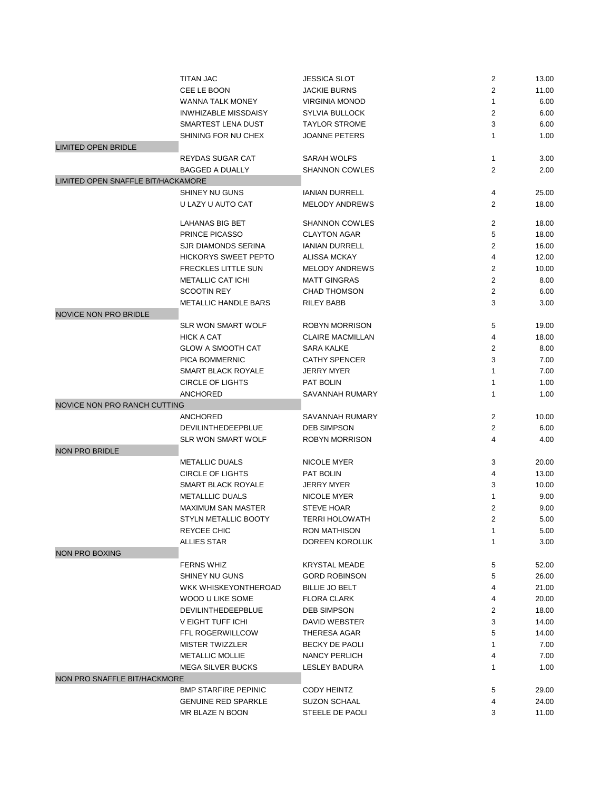|                                    | <b>TITAN JAC</b>                              | <b>JESSICA SLOT</b>                    | 2              | 13.00          |
|------------------------------------|-----------------------------------------------|----------------------------------------|----------------|----------------|
|                                    | CEE LE BOON                                   | <b>JACKIE BURNS</b>                    | $\overline{2}$ | 11.00          |
|                                    | <b>WANNA TALK MONEY</b>                       | <b>VIRGINIA MONOD</b>                  | $\mathbf{1}$   | 6.00           |
|                                    | <b>INWHIZABLE MISSDAISY</b>                   | <b>SYLVIA BULLOCK</b>                  | $\overline{2}$ | 6.00           |
|                                    | SMARTEST LENA DUST                            | <b>TAYLOR STROME</b>                   | 3              | 6.00           |
|                                    | SHINING FOR NU CHEX                           | <b>JOANNE PETERS</b>                   | $\mathbf{1}$   | 1.00           |
| <b>LIMITED OPEN BRIDLE</b>         |                                               |                                        |                |                |
|                                    | REYDAS SUGAR CAT                              | <b>SARAH WOLFS</b>                     | 1              | 3.00           |
|                                    | <b>BAGGED A DUALLY</b>                        | <b>SHANNON COWLES</b>                  | $\overline{2}$ | 2.00           |
| LIMITED OPEN SNAFFLE BIT/HACKAMORE |                                               |                                        |                |                |
|                                    | SHINEY NU GUNS                                | <b>IANIAN DURRELL</b>                  | 4              | 25.00          |
|                                    | U LAZY U AUTO CAT                             | <b>MELODY ANDREWS</b>                  | $\overline{2}$ | 18.00          |
|                                    |                                               |                                        |                |                |
|                                    | <b>LAHANAS BIG BET</b>                        | <b>SHANNON COWLES</b>                  | 2              | 18.00          |
|                                    | PRINCE PICASSO                                | <b>CLAYTON AGAR</b>                    | 5              | 18.00          |
|                                    | SJR DIAMONDS SERINA                           | <b>IANIAN DURRELL</b>                  | $\overline{2}$ | 16.00          |
|                                    | <b>HICKORYS SWEET PEPTO</b>                   | <b>ALISSA MCKAY</b>                    | 4              | 12.00          |
|                                    | <b>FRECKLES LITTLE SUN</b>                    | <b>MELODY ANDREWS</b>                  | 2              | 10.00          |
|                                    | <b>METALLIC CAT ICHI</b>                      | <b>MATT GINGRAS</b>                    | $\overline{2}$ | 8.00           |
|                                    | <b>SCOOTIN REY</b>                            | <b>CHAD THOMSON</b>                    | $\overline{2}$ | 6.00           |
|                                    | <b>METALLIC HANDLE BARS</b>                   | <b>RILEY BABB</b>                      | 3              | 3.00           |
| <b>NOVICE NON PRO BRIDLE</b>       |                                               |                                        |                |                |
|                                    | <b>SLR WON SMART WOLF</b>                     | <b>ROBYN MORRISON</b>                  | 5              | 19.00          |
|                                    | <b>HICK A CAT</b>                             | <b>CLAIRE MACMILLAN</b>                | 4              | 18.00          |
|                                    | <b>GLOW A SMOOTH CAT</b>                      | <b>SARA KALKE</b>                      | $\overline{2}$ | 8.00           |
|                                    | PICA BOMMERNIC                                | <b>CATHY SPENCER</b>                   | 3              | 7.00           |
|                                    | SMART BLACK ROYALE                            | <b>JERRY MYER</b>                      | 1              | 7.00           |
|                                    | <b>CIRCLE OF LIGHTS</b>                       | PAT BOLIN                              | 1              | 1.00           |
|                                    | <b>ANCHORED</b>                               | SAVANNAH RUMARY                        | 1              | 1.00           |
|                                    |                                               |                                        |                |                |
|                                    |                                               |                                        |                |                |
| NOVICE NON PRO RANCH CUTTING       |                                               |                                        |                |                |
|                                    | ANCHORED                                      | SAVANNAH RUMARY                        | $\overline{c}$ | 10.00          |
|                                    | DEVILINTHEDEEPBLUE                            | <b>DEB SIMPSON</b>                     | 2              | 6.00           |
|                                    | <b>SLR WON SMART WOLF</b>                     | <b>ROBYN MORRISON</b>                  | 4              | 4.00           |
| <b>NON PRO BRIDLE</b>              |                                               |                                        |                |                |
|                                    | <b>METALLIC DUALS</b>                         | NICOLE MYER                            | 3              | 20.00          |
|                                    | <b>CIRCLE OF LIGHTS</b>                       | PAT BOLIN                              | 4              | 13.00          |
|                                    | SMART BLACK ROYALE                            | <b>JERRY MYER</b>                      | 3              | 10.00          |
|                                    | <b>METALLLIC DUALS</b>                        | NICOLE MYER                            | 1              | 9.00           |
|                                    | <b>MAXIMUM SAN MASTER</b>                     | <b>STEVE HOAR</b>                      | $\overline{2}$ | 9.00           |
|                                    | STYLN METALLIC BOOTY                          | <b>TERRI HOLOWATH</b>                  | $\overline{2}$ | 5.00           |
|                                    | REYCEE CHIC                                   | RON MATHISON                           | 1              | 5.00           |
|                                    | ALLIES STAR                                   | DOREEN KOROLUK                         | $\mathbf{1}$   | 3.00           |
| <b>NON PRO BOXING</b>              |                                               |                                        |                |                |
|                                    | <b>FERNS WHIZ</b>                             | <b>KRYSTAL MEADE</b>                   | 5              | 52.00          |
|                                    | SHINEY NU GUNS                                | <b>GORD ROBINSON</b>                   | 5              | 26.00          |
|                                    | WKK WHISKEYONTHEROAD                          | BILLIE JO BELT                         | 4              | 21.00          |
|                                    | WOOD U LIKE SOME                              | FLORA CLARK                            | 4              | 20.00          |
|                                    | DEVILINTHEDEEPBLUE                            | <b>DEB SIMPSON</b>                     | $\overline{c}$ | 18.00          |
|                                    | V EIGHT TUFF ICHI                             | DAVID WEBSTER                          | 3              | 14.00          |
|                                    | FFL ROGERWILLCOW                              | <b>THERESA AGAR</b>                    | 5              | 14.00          |
|                                    | <b>MISTER TWIZZLER</b>                        | BECKY DE PAOLI                         | 1              | 7.00           |
|                                    | METALLIC MOLLIE                               | NANCY PERLICH                          | 4              | 7.00           |
|                                    | <b>MEGA SILVER BUCKS</b>                      | LESLEY BADURA                          | 1              | 1.00           |
| NON PRO SNAFFLE BIT/HACKMORE       |                                               |                                        |                |                |
|                                    | <b>BMP STARFIRE PEPINIC</b>                   | CODY HEINTZ                            | 5              | 29.00          |
|                                    | <b>GENUINE RED SPARKLE</b><br>MR BLAZE N BOON | <b>SUZON SCHAAL</b><br>STEELE DE PAOLI | 4<br>3         | 24.00<br>11.00 |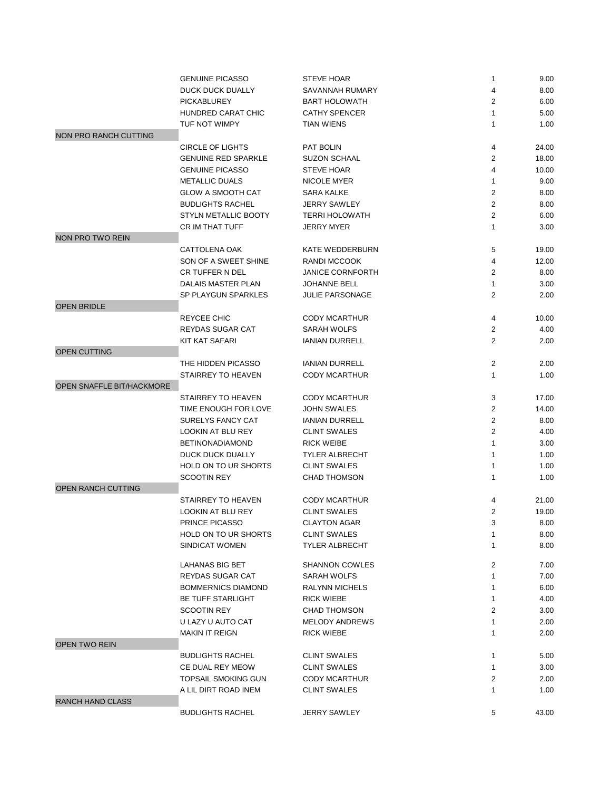|                           | <b>GENUINE PICASSO</b>                 | <b>STEVE HOAR</b>                            | 1                | 9.00  |
|---------------------------|----------------------------------------|----------------------------------------------|------------------|-------|
|                           | <b>DUCK DUCK DUALLY</b>                | SAVANNAH RUMARY                              | 4                | 8.00  |
|                           | <b>PICKABLUREY</b>                     | <b>BART HOLOWATH</b>                         | $\overline{2}$   | 6.00  |
|                           | HUNDRED CARAT CHIC                     | <b>CATHY SPENCER</b>                         | $\mathbf{1}$     | 5.00  |
|                           | TUF NOT WIMPY                          | <b>TIAN WIENS</b>                            | $\mathbf{1}$     | 1.00  |
| NON PRO RANCH CUTTING     |                                        |                                              |                  |       |
|                           | <b>CIRCLE OF LIGHTS</b>                | PAT BOLIN                                    | 4                | 24.00 |
|                           | <b>GENUINE RED SPARKLE</b>             | <b>SUZON SCHAAL</b>                          | $\overline{2}$   | 18.00 |
|                           | <b>GENUINE PICASSO</b>                 | <b>STEVE HOAR</b>                            | 4                | 10.00 |
|                           | <b>METALLIC DUALS</b>                  | <b>NICOLE MYER</b>                           | $\mathbf{1}$     | 9.00  |
|                           | <b>GLOW A SMOOTH CAT</b>               | <b>SARA KALKE</b>                            | 2                | 8.00  |
|                           | <b>BUDLIGHTS RACHEL</b>                | <b>JERRY SAWLEY</b>                          | 2                | 8.00  |
|                           | <b>STYLN METALLIC BOOTY</b>            | <b>TERRI HOLOWATH</b>                        | $\boldsymbol{2}$ | 6.00  |
|                           | CR IM THAT TUFF                        | <b>JERRY MYER</b>                            | $\mathbf{1}$     | 3.00  |
| NON PRO TWO REIN          |                                        |                                              |                  |       |
|                           | CATTOLENA OAK                          | KATE WEDDERBURN                              | 5                | 19.00 |
|                           | SON OF A SWEET SHINE                   | <b>RANDI MCCOOK</b>                          | 4                | 12.00 |
|                           | <b>CR TUFFER N DEL</b>                 | <b>JANICE CORNFORTH</b>                      | 2                | 8.00  |
|                           | <b>DALAIS MASTER PLAN</b>              | <b>JOHANNE BELL</b>                          | $\mathbf{1}$     | 3.00  |
|                           | SP PLAYGUN SPARKLES                    | <b>JULIE PARSONAGE</b>                       | 2                | 2.00  |
| <b>OPEN BRIDLE</b>        |                                        |                                              |                  |       |
|                           | REYCEE CHIC                            | CODY MCARTHUR                                | 4                | 10.00 |
|                           | <b>REYDAS SUGAR CAT</b>                | <b>SARAH WOLFS</b>                           | $\overline{2}$   | 4.00  |
|                           | KIT KAT SAFARI                         | <b>IANIAN DURRELL</b>                        | $\overline{2}$   | 2.00  |
| OPEN CUTTING              |                                        |                                              |                  |       |
|                           | THE HIDDEN PICASSO                     | <b>IANIAN DURRELL</b>                        | $\overline{c}$   | 2.00  |
|                           | STAIRREY TO HEAVEN                     | <b>CODY MCARTHUR</b>                         | $\mathbf{1}$     | 1.00  |
| OPEN SNAFFLE BIT/HACKMORE |                                        |                                              |                  |       |
|                           | STAIRREY TO HEAVEN                     | <b>CODY MCARTHUR</b>                         | 3                | 17.00 |
|                           | TIME ENOUGH FOR LOVE                   | <b>JOHN SWALES</b>                           | 2                |       |
|                           |                                        |                                              | $\overline{2}$   | 14.00 |
|                           | SURELYS FANCY CAT<br>LOOKIN AT BLU REY | <b>IANIAN DURRELL</b><br><b>CLINT SWALES</b> | 2                | 8.00  |
|                           |                                        |                                              |                  | 4.00  |
|                           | <b>BETINONADIAMOND</b>                 | <b>RICK WEIBE</b>                            | $\mathbf{1}$     | 3.00  |
|                           | DUCK DUCK DUALLY                       | <b>TYLER ALBRECHT</b>                        | 1                | 1.00  |
|                           | <b>HOLD ON TO UR SHORTS</b>            | <b>CLINT SWALES</b>                          | 1                | 1.00  |
|                           | <b>SCOOTIN REY</b>                     | <b>CHAD THOMSON</b>                          | $\mathbf{1}$     | 1.00  |
| <b>OPEN RANCH CUTTING</b> |                                        |                                              |                  |       |
|                           | STAIRREY TO HEAVEN                     | <b>CODY MCARTHUR</b>                         | 4                | 21.00 |
|                           | <b>LOOKIN AT BLU REY</b>               | <b>CLINT SWALES</b>                          | $\overline{2}$   | 19.00 |
|                           | PRINCE PICASSO                         | <b>CLAYTON AGAR</b>                          | 3                | 8.00  |
|                           | <b>HOLD ON TO UR SHORTS</b>            | <b>CLINT SWALES</b>                          | 1                | 8.00  |
|                           | SINDICAT WOMEN                         | <b>TYLER ALBRECHT</b>                        | 1                | 8.00  |
|                           | LAHANAS BIG BET                        | <b>SHANNON COWLES</b>                        | 2                | 7.00  |
|                           | REYDAS SUGAR CAT                       | SARAH WOLFS                                  | $\mathbf{1}$     | 7.00  |
|                           | <b>BOMMERNICS DIAMOND</b>              | RALYNN MICHELS                               | 1                | 6.00  |
|                           | <b>BE TUFF STARLIGHT</b>               | <b>RICK WIEBE</b>                            | 1                | 4.00  |
|                           | <b>SCOOTIN REY</b>                     | <b>CHAD THOMSON</b>                          | $\overline{2}$   | 3.00  |
|                           | U LAZY U AUTO CAT                      | <b>MELODY ANDREWS</b>                        | $\mathbf{1}$     | 2.00  |
|                           | <b>MAKIN IT REIGN</b>                  | <b>RICK WIEBE</b>                            | $\mathbf{1}$     | 2.00  |
| <b>OPEN TWO REIN</b>      |                                        |                                              |                  |       |
|                           | <b>BUDLIGHTS RACHEL</b>                | <b>CLINT SWALES</b>                          | 1                | 5.00  |
|                           | CE DUAL REY MEOW                       | <b>CLINT SWALES</b>                          | $\mathbf{1}$     | 3.00  |
|                           | <b>TOPSAIL SMOKING GUN</b>             | <b>CODY MCARTHUR</b>                         | $\overline{c}$   | 2.00  |
|                           | A LIL DIRT ROAD INEM                   | <b>CLINT SWALES</b>                          | $\mathbf{1}$     | 1.00  |
| <b>RANCH HAND CLASS</b>   |                                        |                                              |                  |       |
|                           | <b>BUDLIGHTS RACHEL</b>                | <b>JERRY SAWLEY</b>                          | 5                | 43.00 |
|                           |                                        |                                              |                  |       |